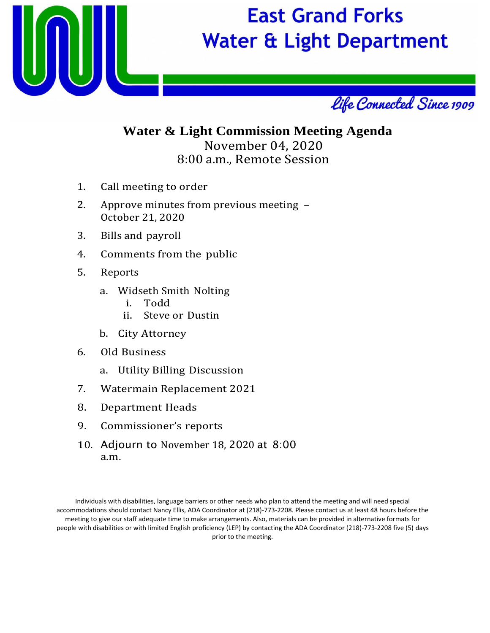

## **East Grand Forks Water & Light Department**



### **Water & Light Commission Meeting Agenda** November 04, 2020 8:00 a.m., Remote Session

- 1. Call meeting to order
- 2. Approve minutes from previous meeting October 21, 2020
- 3. Bills and payroll
- 4. Comments from the public
- 5. Reports
	- a. Widseth Smith Nolting
		- i. Todd
		- ii. Steve or Dustin
	- b. City Attorney
- 6. Old Business
	- a. Utility Billing Discussion
- 7. Watermain Replacement 2021
- 8. Department Heads
- 9. Commissioner's reports
- 10. Adjourn to November 18, 2020 at 8:00 a.m.

Individuals with disabilities, language barriers or other needs who plan to attend the meeting and will need special accommodations should contact Nancy Ellis, ADA Coordinator at (218)‐773‐2208. Please contact us at least 48 hours before the meeting to give our staff adequate time to make arrangements. Also, materials can be provided in alternative formats for people with disabilities or with limited English proficiency (LEP) by contacting the ADA Coordinator (218)‐773‐2208 five (5) days prior to the meeting.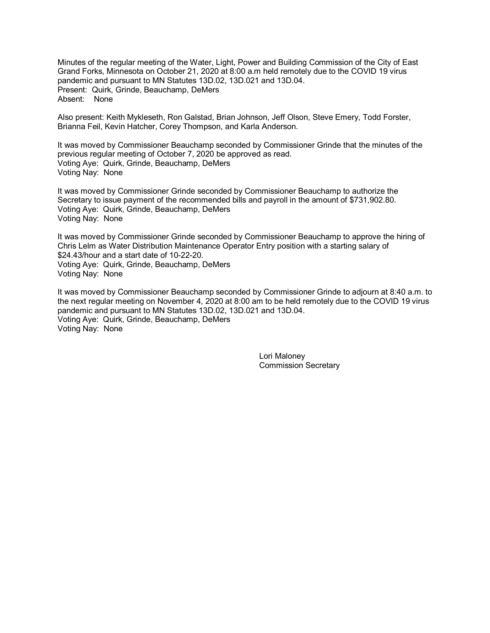Minutes of the regular meeting of the Water, Light, Power and Building Commission of the City of East Grand Forks, Minnesota on October 21, 2020 at 8:00 a.m held remotely due to the COVID 19 virus pandemic and pursuant to MN Statutes 13D.02, 13D.021 and 13D.04. Present: Quirk, Grinde, Beauchamp, DeMers Absent: None

Also present: Keith Mykleseth, Ron Galstad, Brian Johnson, Jeff Olson, Steve Emery, Todd Forster, Brianna Feil, Kevin Hatcher, Corey Thompson, and Karla Anderson.

It was moved by Commissioner Beauchamp seconded by Commissioner Grinde that the minutes of the previous regular meeting of October 7, 2020 be approved as read. Voting Aye: Quirk, Grinde, Beauchamp, DeMers Voting Nay: None

It was moved by Commissioner Grinde seconded by Commissioner Beauchamp to authorize the Secretary to issue payment of the recommended bills and payroll in the amount of \$731,902.80. Voting Aye: Quirk, Grinde, Beauchamp, DeMers Voting Nay: None

It was moved by Commissioner Grinde seconded by Commissioner Beauchamp to approve the hiring of Chris Lelm as Water Distribution Maintenance Operator Entry position with a starting salary of \$24.43/hour and a start date of 10-22-20. Voting Aye: Quirk, Grinde, Beauchamp, DeMers Voting Nay: None

It was moved by Commissioner Beauchamp seconded by Commissioner Grinde to adjourn at 8:40 a.m. to the next regular meeting on November 4, 2020 at 8:00 am to be held remotely due to the COVID 19 virus pandemic and pursuant to MN Statutes 13D.02, 13D.021 and 13D.04. Voting Aye: Quirk, Grinde, Beauchamp, DeMers Voting Nay: None

> Lori Maloney Commission Secretary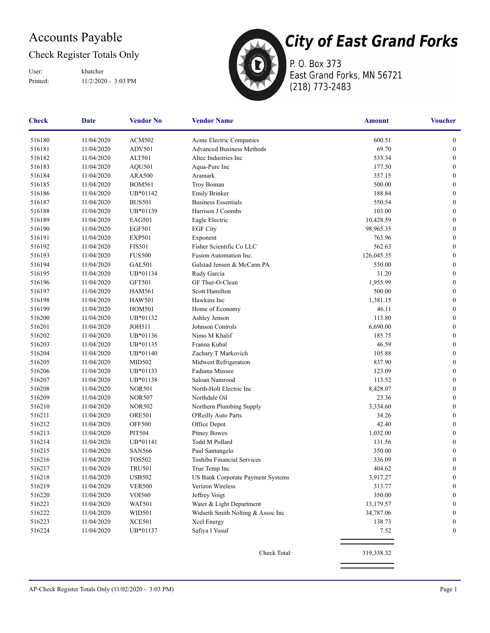### Accounts Payable

### Check Register Totals Only

Printed: 11/2/2020 - 3:03 PM User: khatcher



**City of East Grand Forks** P. O. Box 373 East Grand Forks, MN 56721

(218) 773-2483

| Check  | <b>Date</b> | <b>Vendor No</b> | <b>Vendor Name</b>                | <b>Amount</b> | <b>Voucher</b>   |
|--------|-------------|------------------|-----------------------------------|---------------|------------------|
| 516180 | 11/04/2020  | <b>ACM502</b>    | Acme Electric Companies           | 600.51        | $\boldsymbol{0}$ |
| 516181 | 11/04/2020  | <b>ADV501</b>    | <b>Advanced Business Methods</b>  | 69.70         | $\boldsymbol{0}$ |
| 516182 | 11/04/2020  | ALT501           | Altec Industries Inc              | 533.34        | $\boldsymbol{0}$ |
| 516183 | 11/04/2020  | <b>AQU501</b>    | Aqua-Pure Inc                     | 177.50        | $\boldsymbol{0}$ |
| 516184 | 11/04/2020  | <b>ARA500</b>    | Aramark                           | 357.15        | $\boldsymbol{0}$ |
| 516185 | 11/04/2020  | <b>BOM561</b>    | Troy Boman                        | 500.00        | $\boldsymbol{0}$ |
| 516186 | 11/04/2020  | UB*01142         | <b>Emily Brinker</b>              | 188.84        | $\boldsymbol{0}$ |
| 516187 | 11/04/2020  | <b>BUS501</b>    | <b>Business Essentials</b>        | 550.54        | $\boldsymbol{0}$ |
| 516188 | 11/04/2020  | UB*01139         | Harrison J Coombs                 | 103.00        | $\boldsymbol{0}$ |
| 516189 | 11/04/2020  | EAG501           | Eagle Electric                    | 10,428.59     | $\boldsymbol{0}$ |
| 516190 | 11/04/2020  | <b>EGF501</b>    | <b>EGF City</b>                   | 98,965.35     | $\boldsymbol{0}$ |
| 516191 | 11/04/2020  | <b>EXP501</b>    | Exponent                          | 763.96        | $\boldsymbol{0}$ |
| 516192 | 11/04/2020  | <b>FIS501</b>    | Fisher Scientific Co LLC          | 562.63        | $\boldsymbol{0}$ |
| 516193 | 11/04/2020  | <b>FUS500</b>    | Fusion Automation Inc.            | 126,045.35    | $\boldsymbol{0}$ |
| 516194 | 11/04/2020  | <b>GAL501</b>    | Galstad Jensen & McCann PA        | 550.00        | $\boldsymbol{0}$ |
| 516195 | 11/04/2020  | UB*01134         | Rudy Garcia                       | 31.20         | $\boldsymbol{0}$ |
| 516196 | 11/04/2020  | <b>GFT501</b>    | GF Thur-O-Clean                   | 1,955.99      | $\boldsymbol{0}$ |
| 516197 | 11/04/2020  | <b>HAM561</b>    | Scott Hamilton                    | 500.00        | $\boldsymbol{0}$ |
| 516198 | 11/04/2020  | <b>HAW501</b>    | Hawkins Inc                       | 1,381.15      | $\boldsymbol{0}$ |
| 516199 | 11/04/2020  | <b>HOM501</b>    | Home of Economy                   | 46.11         | $\boldsymbol{0}$ |
| 516200 | 11/04/2020  | UB*01132         | Ashley Jenson                     | 113.80        | $\boldsymbol{0}$ |
| 516201 | 11/04/2020  | <b>JOH511</b>    | Johnson Controls                  | 6,690.00      | $\boldsymbol{0}$ |
| 516202 | 11/04/2020  | UB*01136         | Nimo M Khalif                     | 185.75        | $\boldsymbol{0}$ |
| 516203 | 11/04/2020  | UB*01135         | Franna Kubal                      | 46.59         | $\bf{0}$         |
| 516204 | 11/04/2020  | UB*01140         | Zachary T Markovich               | 105.88        | $\boldsymbol{0}$ |
| 516205 | 11/04/2020  | <b>MID502</b>    | Midwest Refrigeration             | 837.90        | $\boldsymbol{0}$ |
| 516206 | 11/04/2020  | UB*01133         | Faduma Mussee                     | 123.09        | $\boldsymbol{0}$ |
| 516207 | 11/04/2020  | UB*01138         | Saloan Namrood                    | 113.52        | $\boldsymbol{0}$ |
| 516208 | 11/04/2020  | <b>NOR501</b>    | North-Holt Electric Inc           | 8,428.07      | $\boldsymbol{0}$ |
| 516209 | 11/04/2020  | <b>NOR507</b>    | Northdale Oil                     | 23.36         | $\boldsymbol{0}$ |
| 516210 | 11/04/2020  | <b>NOR502</b>    | Northern Plumbing Supply          | 3,334.60      | $\boldsymbol{0}$ |
| 516211 | 11/04/2020  | <b>ORE501</b>    | O'Reilly Auto Parts               | 34.26         | $\boldsymbol{0}$ |
| 516212 | 11/04/2020  | <b>OFF500</b>    | Office Depot                      | 42.40         | $\boldsymbol{0}$ |
| 516213 | 11/04/2020  | PIT504           | <b>Pitney Bowes</b>               | 1,032.00      | $\boldsymbol{0}$ |
| 516214 | 11/04/2020  | UB*01141         | Todd M Pollard                    | 131.56        | $\boldsymbol{0}$ |
| 516215 | 11/04/2020  | <b>SAN566</b>    | Paul Santangelo                   | 350.00        | $\boldsymbol{0}$ |
| 516216 | 11/04/2020  | <b>TOS502</b>    | Toshiba Financial Services        | 336.09        | $\boldsymbol{0}$ |
| 516217 | 11/04/2020  | <b>TRU501</b>    | True Temp Inc                     | 404.62        | $\boldsymbol{0}$ |
| 516218 | 11/04/2020  | <b>USB502</b>    | US Bank Corporate Payment Systems | 3,917.27      | $\boldsymbol{0}$ |
| 516219 | 11/04/2020  | <b>VER500</b>    | Verizon Wireless                  | 313.77        | $\boldsymbol{0}$ |
| 516220 | 11/04/2020  | <b>VOI560</b>    | Jeffrey Voigt                     | 350.00        | $\boldsymbol{0}$ |
| 516221 | 11/04/2020  | <b>WAT501</b>    | Water & Light Department          | 13,179.57     | $\boldsymbol{0}$ |
| 516222 | 11/04/2020  | WID501           | Widseth Smith Nolting & Assoc Inc | 34,787.06     | $\boldsymbol{0}$ |
| 516223 | 11/04/2020  | <b>XCE501</b>    | Xcel Energy                       | 138.73        | $\boldsymbol{0}$ |
| 516224 | 11/04/2020  | UB*01137         | Safiya I Yusuf                    | 7.52          | $\mathbf{0}$     |
|        |             |                  | Check Total:                      | 319,338.32    |                  |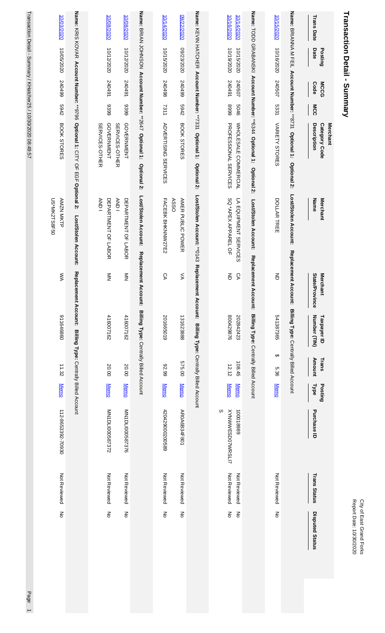| <b>Transaction Detail - Summary</b>                                                                                                               |                                                    |                                   |                             |                                               |                                           |                              | Report Date: 10/30/2020<br>City of East Grand Forks |
|---------------------------------------------------------------------------------------------------------------------------------------------------|----------------------------------------------------|-----------------------------------|-----------------------------|-----------------------------------------------|-------------------------------------------|------------------------------|-----------------------------------------------------|
| <b>Trans Date</b><br>Date<br>Posting<br><b>MCCG</b><br>Code<br>MCC<br><b>Merchant</b><br>Description<br>Category Code                             | Name<br><b>Merchant</b>                            | State/Province<br><b>Merchant</b> | Number (TIN)<br>Taxpayer ID | Amount<br>Trans<br>Type<br>Posting            | Purchase ID                               | <b>Trans Status</b>          | <b>Disputed Status</b>                              |
| Name: BRIANNA M FEIL Account Number: **8731 Optional 1: Optional 2:                                                                               | Lost/Stolen Account:                               | Replacement Ac                    |                             | count: Billing Type: Centrally Billed Account |                                           |                              |                                                     |
| 10/15/2020<br>10/16/2020<br>240507<br>5331<br>VARIETY STORES                                                                                      | DOLLAR TREE                                        | 증                                 | 541387365                   | ↔<br>5.36<br><b>Memo</b>                      |                                           | Not Reviewed                 | $\overline{6}$                                      |
| Name: TODD GRABANSKI Account Number: **6344 Optional 1:                                                                                           | Optional 2:<br>Lost/Stolen Account:                | Replacement Account:              |                             | Billing Type: Centrally Billed Account        |                                           |                              |                                                     |
| 10/16/2020<br>10/14/2020<br>10/19/2020<br>10/15/2020<br>240491<br>240507<br>6668<br>5046<br><b>PROFESSIONAL SERVICES</b><br>WHOLE SALE COMMERCIAL | SQ *APEX APPAREL OF<br>LA EQUIPMENT SERVICES       | 증<br>SД                           | 800429876<br>202842423      | 108.45<br>12.12<br><b>Memo</b><br><b>Memo</b> | w<br><b>XYNWWESD07WRSLI7</b><br>100018989 | Not Reviewed<br>Not Reviewed | 종<br>$\mathsf{S}$                                   |
| Name: KEVIN HATCHER Account Number: **7331 Optional 1:                                                                                            | <b>Optional 2:</b><br>Lost/Stolen Account: ** 0143 | Replacement Account:              |                             | Billing Type: Centrally Billed Account        |                                           |                              |                                                     |
| 0202/2020<br>08/23/2020<br>66+0+2<br><b>5942</b><br>BOOK STORES                                                                                   | <b>ASSO</b><br>AMER PUBLIC POWER                   | ⋦                                 | 131623888                   | 575.00<br><b>Memo</b>                         | AR0A6B34F801                              | Not Reviewed                 | $\mathop{\rm g}\nolimits$                           |
| 10/14/2020<br>10/15/2020<br>867042<br>7311<br><b>ADVERTISING SERVICES</b>                                                                         | FACEBK BHKNNW27E2                                  | СA                                | 201665019                   | 82.99<br><b>Memo</b>                          | 420429000200589                           | Not Reviewed                 | š                                                   |
| Name: BRIAN JOHNSON Account Number: **2647 Optional 1: Optional 2:                                                                                | Lost/Stolen Account:                               | Replacement Account:              |                             | Billing Type: Centrally Billed Account        |                                           |                              |                                                     |
| 10/08/2020<br>10/12/2020<br>167042<br>6399<br>GOVERNMENT<br>SERVICES-OTHER                                                                        | DEPARTMENT OF LABOR<br>AND I                       | $\sum_{i=1}^{n}$                  | 416007162                   | 20.00<br><b>Memo</b>                          | MN1DLI000587376                           | Not Reviewed                 | $\mathop{\rm g}\nolimits$                           |
| 10/08/2020<br>10/12/2020<br>167042<br>6399<br>GOVERNMENT<br>SERVICES-OTHER                                                                        | DEPARTMENT OF LABOR<br>AND I                       | $\sum_{i=1}^{n}$                  | 416007162                   | 20.00<br><b>Memo</b>                          | MN1DLI000587372                           | Not Reviewed                 | $\frac{2}{\sigma}$                                  |
| Name: KRIS KOVAR Account Number: **9796<br>Optional 1: CITY OF EGF Optional 2:                                                                    | Lost/Stolen Account:                               | Replacement Account:              |                             | Billing Type: Centrally Billed Account        |                                           |                              |                                                     |
| 10/03/2020<br>10/05/2020<br>66+0+2<br>2769<br>BOOK STORES                                                                                         | US*MK2TS8F50<br><b>AMZN MKTP</b>                   | ŠХ                                | 098999116                   | 11.32<br><b>Memo</b>                          | 112-8653392-70930                         | Not Reviewed                 | $\overline{5}$                                      |

Transaction Detail - Summary / KHatcher25 / 10/30/2020 08:49:57 Transaction Detail - Summary / KHatcher25 / 10/30/2020 08:49:57 Page 1

Page 1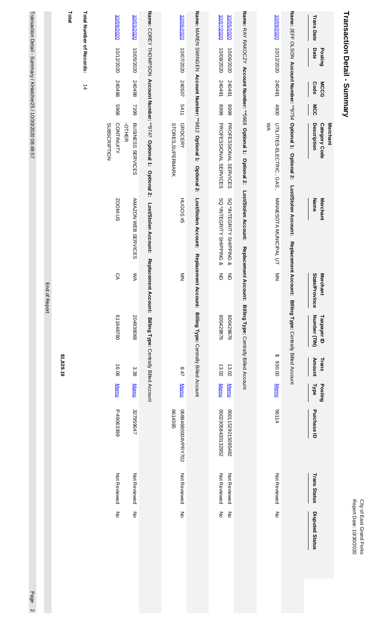# Transaction Detail - Summary **Transaction Detail - Summary**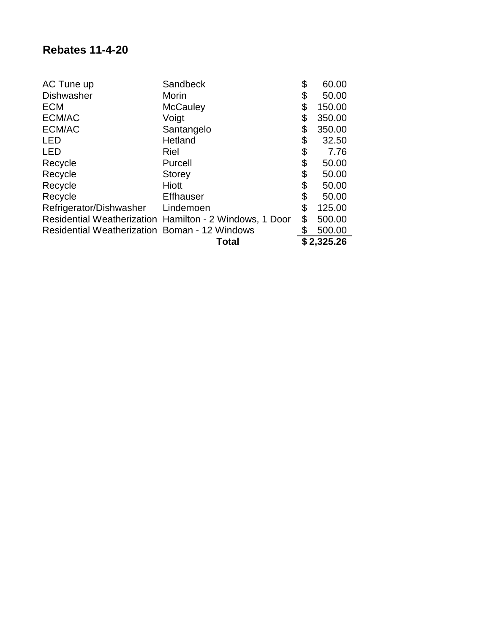| AC Tune up                                           | Sandbeck                                                | \$<br>60.00  |
|------------------------------------------------------|---------------------------------------------------------|--------------|
| <b>Dishwasher</b>                                    | Morin                                                   | \$<br>50.00  |
| <b>ECM</b>                                           | <b>McCauley</b>                                         | \$<br>150.00 |
| ECM/AC                                               | Voigt                                                   | \$<br>350.00 |
| ECM/AC                                               | Santangelo                                              | \$<br>350.00 |
| <b>LED</b>                                           | Hetland                                                 | \$<br>32.50  |
| <b>LED</b>                                           | Riel                                                    | \$<br>7.76   |
| Recycle                                              | Purcell                                                 | \$<br>50.00  |
| Recycle                                              | <b>Storey</b>                                           | \$<br>50.00  |
| Recycle                                              | <b>Hiott</b>                                            | \$<br>50.00  |
| Recycle                                              | <b>Effhauser</b>                                        | \$<br>50.00  |
| Refrigerator/Dishwasher Lindemoen                    |                                                         | \$<br>125.00 |
|                                                      | Residential Weatherization Hamilton - 2 Windows, 1 Door | \$<br>500.00 |
| <b>Residential Weatherization Boman - 12 Windows</b> |                                                         | \$<br>500.00 |
|                                                      | Total                                                   | \$2,325.26   |